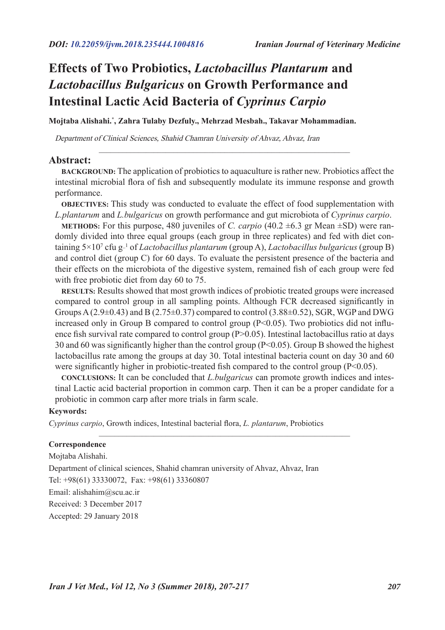# **Effects of Two Probiotics,** *Lactobacillus Plantarum* **and**  *Lactobacillus Bulgaricus* **on Growth Performance and Intestinal Lactic Acid Bacteria of** *Cyprinus Carpio*

**Mojtaba Alishahi.\* , Zahra Tulaby Dezfuly., Mehrzad Mesbah., Takavar Mohammadian.**

Department of Clinical Sciences, Shahid Chamran University of Ahvaz, Ahvaz, Iran

#### **Abstract:**

**BACKGROUND:** The application of probiotics to aquaculture is rather new. Probiotics affect the intestinal microbial flora of fish and subsequently modulate its immune response and growth performance.

 $\_$  . The contribution of the contribution of the contribution of  $\mathcal{L}_\mathcal{A}$ 

**OBJECTIVES:** This study was conducted to evaluate the effect of food supplementation with *L.plantarum* and *L.bulgaricus* on growth performance and gut microbiota of *Cyprinus carpio*.

**METHODS:** For this purpose, 480 juveniles of *C. carpio* (40.2 ±6.3 gr Mean ±SD) were randomly divided into three equal groups (each group in three replicates) and fed with diet containing 5×107 cfu g\_1 of *Lactobacillus plantarum* (group A), *Lactobacillus bulgaricus* (group B) and control diet (group C) for 60 days. To evaluate the persistent presence of the bacteria and their effects on the microbiota of the digestive system, remained fish of each group were fed with free probiotic diet from day 60 to 75.

**RESULTS:** Results showed that most growth indices of probiotic treated groups were increased compared to control group in all sampling points. Although FCR decreased significantly in Groups A  $(2.9\pm 0.43)$  and B  $(2.75\pm 0.37)$  compared to control  $(3.88\pm 0.52)$ , SGR, WGP and DWG increased only in Group B compared to control group  $(P<0.05)$ . Two probiotics did not influence fish survival rate compared to control group (P>0.05). Intestinal lactobacillus ratio at days 30 and 60 was significantly higher than the control group (P<0.05). Group B showed the highest lactobacillus rate among the groups at day 30. Total intestinal bacteria count on day 30 and 60 were significantly higher in probiotic-treated fish compared to the control group  $(P<0.05)$ .

**CONCLUSIONS:** It can be concluded that *L.bulgaricus* can promote growth indices and intestinal Lactic acid bacterial proportion in common carp. Then it can be a proper candidate for a probiotic in common carp after more trials in farm scale.

 $\_$  . The contribution of the contribution of the contribution of the contribution of  $\mathcal{L}_\text{max}$ 

#### **Keywords:**

*Cyprinus carpio*, Growth indices, Intestinal bacterial flora, *L. plantarum*, Probiotics

#### **Correspondence**

Mojtaba Alishahi. Department of clinical sciences, Shahid chamran university of Ahvaz, Ahvaz, Iran Tel: +98(61) 33330072, Fax: +98(61) 33360807 Email: alishahim@scu.ac.ir Received: 3 December 2017 Accepted: 29 January 2018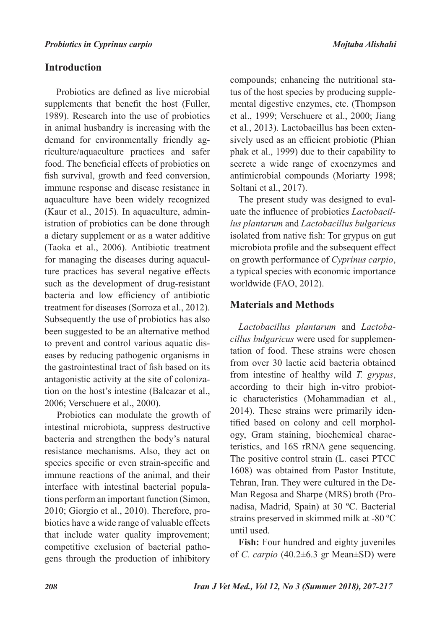# **Introduction**

 Probiotics are defined as live microbial supplements that benefit the host (Fuller, 1989). Research into the use of probiotics in animal husbandry is increasing with the demand for environmentally friendly agriculture/aquaculture practices and safer food. The beneficial effects of probiotics on fish survival, growth and feed conversion, immune response and disease resistance in aquaculture have been widely recognized (Kaur et al., 2015). In aquaculture, administration of probiotics can be done through a dietary supplement or as a water additive (Taoka et al., 2006). Antibiotic treatment for managing the diseases during aquaculture practices has several negative effects such as the development of drug-resistant bacteria and low efficiency of antibiotic treatment for diseases (Sorroza et al., 2012). Subsequently the use of probiotics has also been suggested to be an alternative method to prevent and control various aquatic diseases by reducing pathogenic organisms in the gastrointestinal tract of fish based on its antagonistic activity at the site of colonization on the host's intestine (Balcazar et al., 2006; Verschuere et al., 2000).

 Probiotics can modulate the growth of intestinal microbiota, suppress destructive bacteria and strengthen the body's natural resistance mechanisms. Also, they act on species specific or even strain-specific and immune reactions of the animal, and their interface with intestinal bacterial populations perform an important function (Simon, 2010; Giorgio et al., 2010). Therefore, probiotics have a wide range of valuable effects that include water quality improvement; competitive exclusion of bacterial pathogens through the production of inhibitory

compounds; enhancing the nutritional status of the host species by producing supplemental digestive enzymes, etc. (Thompson et al., 1999; Verschuere et al., 2000; Jiang et al., 2013). Lactobacillus has been extensively used as an efficient probiotic (Phian phak et al., 1999) due to their capability to secrete a wide range of exoenzymes and antimicrobial compounds (Moriarty 1998; Soltani et al., 2017).

The present study was designed to evaluate the influence of probiotics *Lactobacillus plantarum* and *Lactobacillus bulgaricus* isolated from native fish: Tor grypus on gut microbiota profile and the subsequent effect on growth performance of *Cyprinus carpio*, a typical species with economic importance worldwide (FAO, 2012).

## **Materials and Methods**

*Lactobacillus plantarum* and *Lactobacillus bulgaricus* were used for supplementation of food. These strains were chosen from over 30 lactic acid bacteria obtained from intestine of healthy wild *T. grypus*, according to their high in-vitro probiotic characteristics (Mohammadian et al., 2014). These strains were primarily identified based on colony and cell morphology, Gram staining, biochemical characteristics, and 16S rRNA gene sequencing. The positive control strain (L. casei PTCC 1608) was obtained from Pastor Institute, Tehran, Iran. They were cultured in the De-Man Regosa and Sharpe (MRS) broth (Pronadisa, Madrid, Spain) at 30 ºC. Bacterial strains preserved in skimmed milk at -80 ºC until used.

**Fish:** Four hundred and eighty juveniles of *C. carpio* (40.2±6.3 gr Mean±SD) were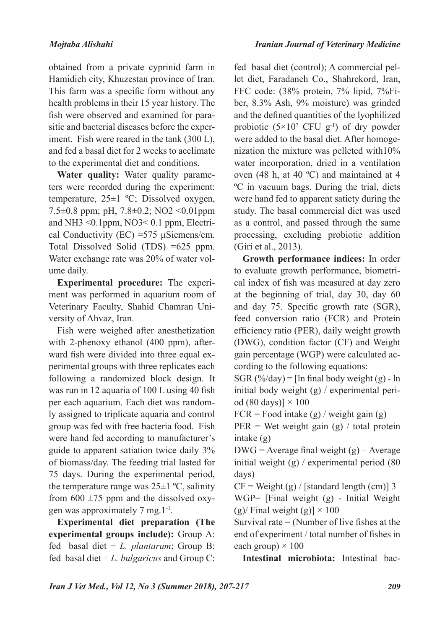obtained from a private cyprinid farm in Hamidieh city, Khuzestan province of Iran. This farm was a specific form without any health problems in their 15 year history. The fish were observed and examined for parasitic and bacterial diseases before the experiment. Fish were reared in the tank (300 L), and fed a basal diet for 2 weeks to acclimate to the experimental diet and conditions.

**Water quality:** Water quality parameters were recorded during the experiment: temperature, 25±1 ºC; Dissolved oxygen, 7.5±0.8 ppm; pH, 7.8±0.2; NO2 <0.01ppm and NH3 <0.1ppm, NO3< 0.1 ppm, Electrical Conductivity (EC) =  $575 \mu$ Siemens/cm. Total Dissolved Solid (TDS) =625 ppm. Water exchange rate was 20% of water volume daily.

**Experimental procedure:** The experiment was performed in aquarium room of Veterinary Faculty, Shahid Chamran University of Ahvaz, Iran.

Fish were weighed after anesthetization with 2-phenoxy ethanol (400 ppm), afterward fish were divided into three equal experimental groups with three replicates each following a randomized block design. It was run in 12 aquaria of 100 L using 40 fish per each aquarium. Each diet was randomly assigned to triplicate aquaria and control group was fed with free bacteria food. Fish were hand fed according to manufacturer's guide to apparent satiation twice daily 3% of biomass/day. The feeding trial lasted for 75 days. During the experimental period, the temperature range was  $25\pm1$  °C, salinity from  $600 \pm 75$  ppm and the dissolved oxygen was approximately 7 mg.1-1.

**Experimental diet preparation (The experimental groups include):** Group A: fed basal diet + *L. plantarum*; Group B: fed basal diet + *L. bulgaricus* and Group C:

fed basal diet (control); A commercial pellet diet, Faradaneh Co., Shahrekord, Iran, FFC code: (38% protein, 7% lipid, 7%Fiber, 8.3% Ash, 9% moisture) was grinded and the defined quantities of the lyophilized probiotic  $(5\times10^7 \text{ CFU g}^{-1})$  of dry powder were added to the basal diet. After homogenization the mixture was pelleted with10% water incorporation, dried in a ventilation oven (48 h, at 40 ºC) and maintained at 4 ºC in vacuum bags. During the trial, diets were hand fed to apparent satiety during the study. The basal commercial diet was used as a control, and passed through the same processing, excluding probiotic addition (Giri et al., 2013).

**Growth performance indices:** In order to evaluate growth performance, biometrical index of fish was measured at day zero at the beginning of trial, day 30, day 60 and day 75. Specific growth rate (SGR), feed conversion ratio (FCR) and Protein efficiency ratio (PER), daily weight growth (DWG), condition factor (CF) and Weight gain percentage (WGP) were calculated according to the following equations:

SGR  $(\frac{\%}{day})$  = [ln final body weight (g) - ln initial body weight (g) / experimental period (80 days)]  $\times$  100

 $FCR = Food intake (g) / weight gain (g)$ 

 $PER = Wet weight gain (g) / total protein$ intake (g)

 $DWG = Average final weight(g) - Average$ initial weight (g) / experimental period (80 days)

 $CF = Weight(g) / [standard length (cm)]$  3

WGP= [Final weight (g) - Initial Weight (g)/ Final weight (g)]  $\times$  100

Survival rate  $=$  (Number of live fishes at the end of experiment / total number of fishes in each group)  $\times$  100

**Intestinal microbiota:** Intestinal bac-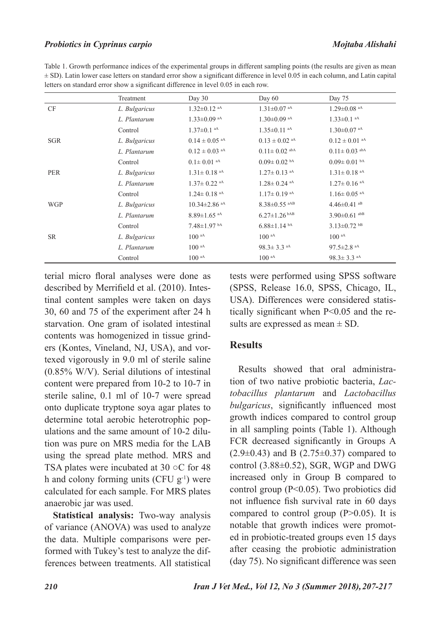### *Probiotics in Cyprinus carpio Mojtaba Alishahi*

Table 1. Growth performance indices of the experimental groups in different sampling points (the results are given as mean ± SD). Latin lower case letters on standard error show a significant difference in level 0.05 in each column, and Latin capital letters on standard error show a significant difference in level 0.05 in each row.

|            | Treatment     | Day $30$                      | Day 60              | Day 75                       |
|------------|---------------|-------------------------------|---------------------|------------------------------|
| CF         | L. Bulgaricus | $1.32 \pm 0.12$ aA            | $1.31 \pm 0.07$ aA  | $1.29 \pm 0.08$ aA           |
|            | L. Plantarum  | $1.33 \pm 0.09$ aA            | $1.30\pm0.09$ aA    | $1.33 \pm 0.1$ aA            |
|            | Control       | $1.37 \pm 0.1$ aA             | $1.35 \pm 0.11$ aA  | $1.30 \pm 0.07$ aA           |
| <b>SGR</b> | L. Bulgaricus | $0.14 \pm 0.05$ aA            | $0.13 \pm 0.02$ aA  | $0.12 \pm 0.01$ aA           |
|            | L. Plantarum  | $0.12 \pm 0.03$ aA            | $0.11 \pm 0.02$ abA | $0.11 \pm 0.03$ abA          |
|            | Control       | $0.1 \pm 0.01$ aA             | $0.09 \pm 0.02$ bA  | $0.09 \pm 0.01$ bA           |
| <b>PER</b> | L. Bulgaricus | $1.31 \pm 0.18$ <sup>aA</sup> | $1.27 \pm 0.13$ aA  | $1.31 \pm 0.18$ aA           |
|            | L. Plantarum  | $1.37 \pm 0.22$ aA            | $1.28 \pm 0.24$ aA  | $1.27 \pm 0.16$ aA           |
|            | Control       | $1.24 \pm 0.18$ <sup>aA</sup> | $1.17\pm0.19$ aA    | $1.16 \pm 0.05$ aA           |
| <b>WGP</b> | L. Bulgaricus | $10.34 \pm 2.86$ aA           | $8.38 \pm 0.55$ aAB | $4.46\pm0.41$ aB             |
|            | L. Plantarum  | $8.89 \pm 1.65$ aA            | $6.27 \pm 1.26$ bAB | $3.90 \pm 0.61$ abB          |
|            | Control       | $7.48 \pm 1.97$ bA            | $6.88 \pm 1.14$ bA  | $3.13 \pm 0.72$ bB           |
| <b>SR</b>  | L. Bulgaricus | $100$ aA                      | $100$ aA            | $100$ aA                     |
|            | L. Plantarum  | $100$ aA                      | $98.3 \pm 3.3$ aA   | $97.5 \pm 2.8$ <sup>aA</sup> |
|            | Control       | $100$ aA                      | $100$ aA            | $98.3 \pm 3.3$ aA            |

terial micro floral analyses were done as described by Merrifield et al. (2010). Intestinal content samples were taken on days 30, 60 and 75 of the experiment after 24 h starvation. One gram of isolated intestinal contents was homogenized in tissue grinders (Kontes, Vineland, NJ, USA), and vortexed vigorously in 9.0 ml of sterile saline (0.85% W/V). Serial dilutions of intestinal content were prepared from 10-2 to 10-7 in sterile saline, 0.1 ml of 10-7 were spread onto duplicate tryptone soya agar plates to determine total aerobic heterotrophic populations and the same amount of 10-2 dilution was pure on MRS media for the LAB using the spread plate method. MRS and TSA plates were incubated at 30 ○C for 48 h and colony forming units (CFU  $g^{-1}$ ) were calculated for each sample. For MRS plates anaerobic jar was used.

**Statistical analysis:** Two-way analysis of variance (ANOVA) was used to analyze the data. Multiple comparisons were performed with Tukey's test to analyze the differences between treatments. All statistical tests were performed using SPSS software (SPSS, Release 16.0, SPSS, Chicago, IL, USA). Differences were considered statistically significant when P<0.05 and the results are expressed as mean  $\pm$  SD.

### **Results**

Results showed that oral administration of two native probiotic bacteria, *Lactobacillus plantarum* and *Lactobacillus bulgaricus*, significantly influenced most growth indices compared to control group in all sampling points (Table 1). Although FCR decreased significantly in Groups A  $(2.9\pm0.43)$  and B  $(2.75\pm0.37)$  compared to control  $(3.88\pm0.52)$ , SGR, WGP and DWG increased only in Group B compared to control group  $(P<0.05)$ . Two probiotics did not influence fish survival rate in 60 days compared to control group  $(P>0.05)$ . It is notable that growth indices were promoted in probiotic-treated groups even 15 days after ceasing the probiotic administration (day 75). No significant difference was seen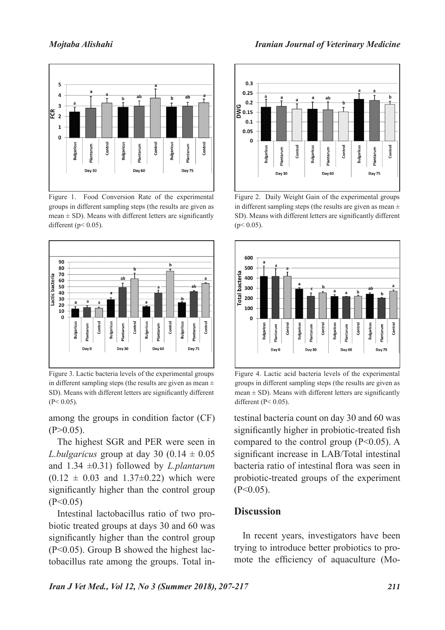

Figure 1. Food Conversion Rate of the experimental groups in different sampling steps (the results are given as mean  $\pm$  SD). Means with different letters are significantly different ( $p$  < 0.05).



Figure 3. Lactic bacteria levels of the experimental groups in different sampling steps (the results are given as mean  $\pm$ SD). Means with different letters are significantly different  $(P< 0.05)$ .

among the groups in condition factor (CF)  $(P>0.05)$ .

The highest SGR and PER were seen in *L.bulgaricus* group at day 30 (0.14  $\pm$  0.05 and 1.34 ±0.31) followed by *L.plantarum*  $(0.12 \pm 0.03$  and  $1.37 \pm 0.22)$  which were significantly higher than the control group  $(P<0.05)$ 

Intestinal lactobacillus ratio of two probiotic treated groups at days 30 and 60 was significantly higher than the control group (P<0.05). Group B showed the highest lactobacillus rate among the groups. Total in-



Figure 2. Daily Weight Gain of the experimental groups in different sampling steps (the results are given as mean  $\pm$ SD). Means with different letters are significantly different  $(p< 0.05)$ .



Figure 4. Lactic acid bacteria levels of the experimental groups in different sampling steps (the results are given as mean  $\pm$  SD). Means with different letters are significantly different ( $P < 0.05$ ).

testinal bacteria count on day 30 and 60 was significantly higher in probiotic-treated fish compared to the control group  $(P<0.05)$ . A significant increase in LAB/Total intestinal bacteria ratio of intestinal flora was seen in probiotic-treated groups of the experiment  $(P<0.05)$ .

## **Discussion**

In recent years, investigators have been trying to introduce better probiotics to promote the efficiency of aquaculture (Mo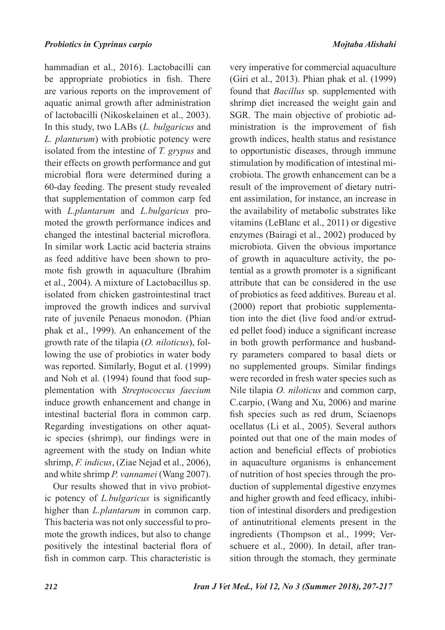hammadian et al., 2016). Lactobacilli can be appropriate probiotics in fish. There are various reports on the improvement of aquatic animal growth after administration of lactobacilli (Nikoskelainen et al., 2003). In this study, two LABs (*L. bulgaricus* and *L. planturum*) with probiotic potency were isolated from the intestine of *T. grypus* and their effects on growth performance and gut microbial flora were determined during a 60-day feeding. The present study revealed that supplementation of common carp fed with *L.plantarum* and *L.bulgaricus* promoted the growth performance indices and changed the intestinal bacterial microflora. In similar work Lactic acid bacteria strains as feed additive have been shown to promote fish growth in aquaculture (Ibrahim et al., 2004). A mixture of Lactobacillus sp. isolated from chicken gastrointestinal tract improved the growth indices and survival rate of juvenile Penaeus monodon. (Phian phak et al., 1999). An enhancement of the growth rate of the tilapia (*O. niloticus*), following the use of probiotics in water body was reported. Similarly, Bogut et al. (1999) and Noh et al. (1994) found that food supplementation with *Streptococcus faecium*  induce growth enhancement and change in intestinal bacterial flora in common carp. Regarding investigations on other aquatic species (shrimp), our findings were in agreement with the study on Indian white shrimp, *F. indicus*, (Ziae Nejad et al., 2006), and white shrimp *P. vannamei* (Wang 2007).

Our results showed that in vivo probiotic potency of *L.bulgaricus* is significantly higher than *L.plantarum* in common carp. This bacteria was not only successful to promote the growth indices, but also to change positively the intestinal bacterial flora of fish in common carp. This characteristic is

very imperative for commercial aquaculture (Giri et al., 2013). Phian phak et al. (1999) found that *Bacillus* sp. supplemented with shrimp diet increased the weight gain and SGR. The main objective of probiotic administration is the improvement of fish growth indices, health status and resistance to opportunistic diseases, through immune stimulation by modification of intestinal microbiota. The growth enhancement can be a result of the improvement of dietary nutrient assimilation, for instance, an increase in the availability of metabolic substrates like vitamins (LeBlanc et al., 2011) or digestive enzymes (Bairagi et al., 2002) produced by microbiota. Given the obvious importance of growth in aquaculture activity, the potential as a growth promoter is a significant attribute that can be considered in the use of probiotics as feed additives. Bureau et al. (2000) report that probiotic supplementation into the diet (live food and/or extruded pellet food) induce a significant increase in both growth performance and husbandry parameters compared to basal diets or no supplemented groups. Similar findings were recorded in fresh water species such as Nile tilapia *O. niloticus* and common carp, C.carpio, (Wang and Xu, 2006) and marine fish species such as red drum, Sciaenops ocellatus (Li et al., 2005). Several authors pointed out that one of the main modes of action and beneficial effects of probiotics in aquaculture organisms is enhancement of nutrition of host species through the production of supplemental digestive enzymes and higher growth and feed efficacy, inhibition of intestinal disorders and predigestion of antinutritional elements present in the ingredients (Thompson et al., 1999; Verschuere et al., 2000). In detail, after transition through the stomach, they germinate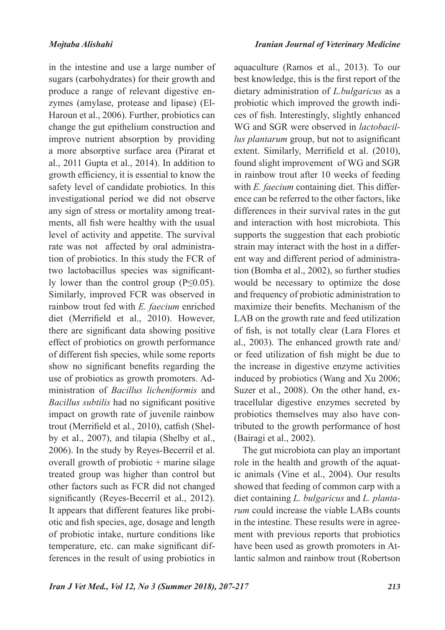in the intestine and use a large number of sugars (carbohydrates) for their growth and produce a range of relevant digestive enzymes (amylase, protease and lipase) (El-Haroun et al., 2006). Further, probiotics can change the gut epithelium construction and improve nutrient absorption by providing a more absorptive surface area (Pirarat et al., 2011 Gupta et al., 2014). In addition to growth efficiency, it is essential to know the safety level of candidate probiotics. In this investigational period we did not observe any sign of stress or mortality among treatments, all fish were healthy with the usual level of activity and appetite. The survival rate was not affected by oral administration of probiotics. In this study the FCR of two lactobacillus species was significantly lower than the control group  $(P \le 0.05)$ . Similarly, improved FCR was observed in rainbow trout fed with *E. faecium* enriched diet (Merrifield et al., 2010). However, there are significant data showing positive effect of probiotics on growth performance of different fish species, while some reports show no significant benefits regarding the use of probiotics as growth promoters. Administration of *Bacillus licheniformis* and *Bacillus subtilis* had no significant positive impact on growth rate of juvenile rainbow trout (Merrifield et al., 2010), catfish (Shelby et al., 2007), and tilapia (Shelby et al., 2006). In the study by Reyes-Becerril et al. overall growth of probiotic  $+$  marine silage treated group was higher than control but other factors such as FCR did not changed significantly (Reyes-Becerril et al., 2012). It appears that different features like probiotic and fish species, age, dosage and length of probiotic intake, nurture conditions like temperature, etc. can make significant differences in the result of using probiotics in

aquaculture (Ramos et al., 2013). To our best knowledge, this is the first report of the dietary administration of *L.bulgaricus* as a probiotic which improved the growth indices of fish. Interestingly, slightly enhanced WG and SGR were observed in *lactobacillus plantarum* group, but not to asignificant extent. Similarly, Merrifield et al. (2010), found slight improvement of WG and SGR in rainbow trout after 10 weeks of feeding with *E. faecium* containing diet. This difference can be referred to the other factors, like differences in their survival rates in the gut and interaction with host microbiota. This supports the suggestion that each probiotic strain may interact with the host in a different way and different period of administration (Bomba et al., 2002), so further studies would be necessary to optimize the dose and frequency of probiotic administration to maximize their benefits. Mechanism of the LAB on the growth rate and feed utilization of fish, is not totally clear (Lara Flores et al., 2003). The enhanced growth rate and/ or feed utilization of fish might be due to the increase in digestive enzyme activities induced by probiotics (Wang and Xu 2006; Suzer et al., 2008). On the other hand, extracellular digestive enzymes secreted by probiotics themselves may also have contributed to the growth performance of host (Bairagi et al., 2002).

The gut microbiota can play an important role in the health and growth of the aquatic animals (Vine et al., 2004). Our results showed that feeding of common carp with a diet containing *L. bulgaricus* and *L. plantarum* could increase the viable LABs counts in the intestine. These results were in agreement with previous reports that probiotics have been used as growth promoters in Atlantic salmon and rainbow trout (Robertson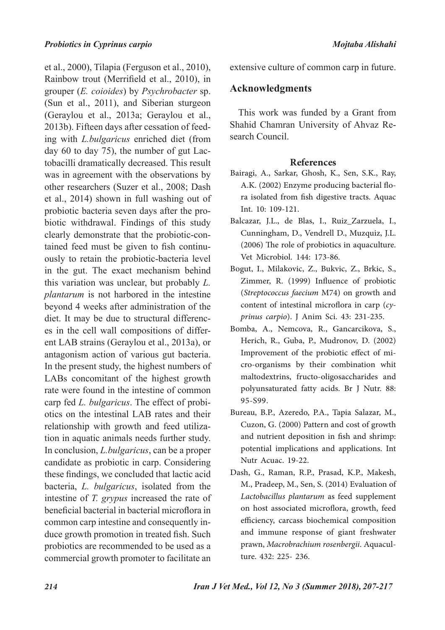et al., 2000), Tilapia (Ferguson et al., 2010), Rainbow trout (Merrifield et al., 2010), in grouper (*E. coioides*) by *Psychrobacter* sp. (Sun et al., 2011), and Siberian sturgeon (Geraylou et al., 2013a; Geraylou et al., 2013b). Fifteen days after cessation of feeding with *L.bulgaricus* enriched diet (from day 60 to day 75), the number of gut Lactobacilli dramatically decreased. This result was in agreement with the observations by other researchers (Suzer et al., 2008; Dash et al., 2014) shown in full washing out of probiotic bacteria seven days after the probiotic withdrawal. Findings of this study clearly demonstrate that the probiotic-contained feed must be given to fish continuously to retain the probiotic-bacteria level in the gut. The exact mechanism behind this variation was unclear, but probably *L. plantarum* is not harbored in the intestine beyond 4 weeks after administration of the diet. It may be due to structural differences in the cell wall compositions of different LAB strains (Geraylou et al., 2013a), or antagonism action of various gut bacteria. In the present study, the highest numbers of LABs concomitant of the highest growth rate were found in the intestine of common carp fed *L. bulgaricus*. The effect of probiotics on the intestinal LAB rates and their relationship with growth and feed utilization in aquatic animals needs further study. In conclusion, *L.bulgaricus*, can be a proper candidate as probiotic in carp. Considering these findings, we concluded that lactic acid bacteria, *L. bulgaricus*, isolated from the intestine of *T. grypus* increased the rate of beneficial bacterial in bacterial microflora in common carp intestine and consequently induce growth promotion in treated fish. Such probiotics are recommended to be used as a commercial growth promoter to facilitate an

extensive culture of common carp in future.

### **Acknowledgments**

This work was funded by a Grant from Shahid Chamran University of Ahvaz Research Council.

#### **References**

- Bairagi, A., Sarkar, Ghosh, K., Sen, S.K., Ray, A.K. (2002) Enzyme producing bacterial flora isolated from fish digestive tracts. Aquac Int. 10: 109-121.
- Balcazar, J.L., de Blas, I., Ruiz\_Zarzuela, I., Cunningham, D., Vendrell D., Muzquiz, J.L. (2006) The role of probiotics in aquaculture. Vet Microbiol. 144: 173-86.
- Bogut, I., Milakovic, Z., Bukvic, Z., Brkic, S., Zimmer, R. (1999) Influence of probiotic (*Streptococcus faecium* M74) on growth and content of intestinal microflora in carp (cy*prinus carpio*). J Anim Sci. 43: 231-235.
- Bomba, A., Nemcova, R., Gancarcikova, S., Herich, R., Guba, P., Mudronov, D. (2002) Improvement of the probiotic effect of micro-organisms by their combination whit maltodextrins, fructo-oligosaccharides and polyunsaturated fatty acids. Br J Nutr. 88: 95-S99.
- Bureau, B.P., Azeredo, P.A., Tapia Salazar, M., Cuzon, G. (2000) Pattern and cost of growth and nutrient deposition in fish and shrimp: potential implications and applications. Int Nutr Acuac. 19-22.
- Dash, G., Raman, R.P., Prasad, K.P., Makesh, M., Pradeep, M., Sen, S. (2014) Evaluation of *Lactobacillus plantarum* as feed supplement on host associated microflora, growth, feed efficiency, carcass biochemical composition and immune response of giant freshwater prawn, *Macrobrachium rosenbergii*. Aquaculture. 432: 225- 236.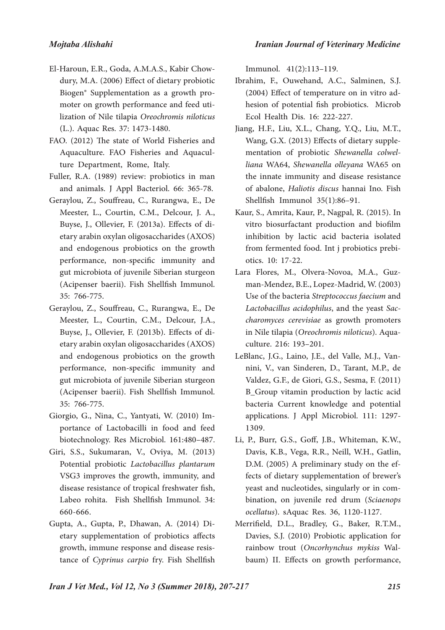- El-Haroun, E.R., Goda, A.M.A.S., Kabir Chowdury, M.A. (2006) Effect of dietary probiotic Biogen® Supplementation as a growth promoter on growth performance and feed utilization of Nile tilapia *Oreochromis niloticus*  (L.). Aquac Res. 37: 1473-1480.
- FAO. (2012) The state of World Fisheries and Aquaculture. FAO Fisheries and Aquaculture Department, Rome, Italy.
- Fuller, R.A. (1989) review: probiotics in man and animals. J Appl Bacteriol. 66: 365-78.
- Geraylou, Z., Souffreau, C., Rurangwa, E., De Meester, L., Courtin, C.M., Delcour, J. A., Buyse, J., Ollevier, F. (2013a). Effects of dietary arabin oxylan oligosaccharides (AXOS) and endogenous probiotics on the growth performance, non-specific immunity and gut microbiota of juvenile Siberian sturgeon (Acipenser baerii). Fish Shellfish Immunol. 35: 766-775.
- Geraylou, Z., Souffreau, C., Rurangwa, E., De Meester, L., Courtin, C.M., Delcour, J.A., Buyse, J., Ollevier, F. (2013b). Effects of dietary arabin oxylan oligosaccharides (AXOS) and endogenous probiotics on the growth performance, non-specific immunity and gut microbiota of juvenile Siberian sturgeon (Acipenser baerii). Fish Shellfish Immunol. 35: 766-775.
- Giorgio, G., Nina, C., Yantyati, W. (2010) Importance of Lactobacilli in food and feed biotechnology. Res Microbiol. 161:480–487.
- Giri, S.S., Sukumaran, V., Oviya, M. (2013) Potential probiotic *Lactobacillus plantarum* VSG3 improves the growth, immunity, and disease resistance of tropical freshwater fish, Labeo rohita. Fish Shellfish Immunol. 34: 660-666.
- Gupta, A., Gupta, P., Dhawan, A. (2014) Dietary supplementation of probiotics affects growth, immune response and disease resistance of *Cyprinus carpio* fry. Fish Shellfish

Immunol. 41(2):113–119.

- Ibrahim, F., Ouwehand, A.C., Salminen, S.J. (2004) Effect of temperature on in vitro adhesion of potential fish probiotics. Microb Ecol Health Dis. 16: 222-227.
- Jiang, H.F., Liu, X.L., Chang, Y.Q., Liu, M.T., Wang, G.X. (2013) Effects of dietary supplementation of probiotic *Shewanella colwelliana* WA64, *Shewanella olleyana* WA65 on the innate immunity and disease resistance of abalone, *Haliotis discus* hannai Ino. Fish Shellfish Immunol 35(1):86–91.
- Kaur, S., Amrita, Kaur, P., Nagpal, R. (2015). In vitro biosurfactant production and biofilm inhibition by lactic acid bacteria isolated from fermented food. Int j probiotics prebiotics. 10: 17-22.
- Lara Flores, M., Olvera-Novoa, M.A., Guzman-Mendez, B.E., Lopez-Madrid, W. (2003) Use of the bacteria *Streptococcus faecium* and *Lactobacillus acidophilus*, and the yeast *Sac� charomyces cerevisiae* as growth promoters in Nile tilapia (*Oreochromis niloticus*). Aquaculture. 216: 193–201.
- LeBlanc, J.G., Laino, J.E., del Valle, M.J., Vannini, V., van Sinderen, D., Tarant, M.P., de Valdez, G.F., de Giori, G.S., Sesma, F. (2011) B\_Group vitamin production by lactic acid bacteria Current knowledge and potential applications. J Appl Microbiol. 111: 1297- 1309.
- Li, P., Burr, G.S., Goff, J.B., Whiteman, K.W., Davis, K.B., Vega, R.R., Neill, W.H., Gatlin, D.M. (2005) A preliminary study on the effects of dietary supplementation of brewer's yeast and nucleotides, singularly or in combination, on juvenile red drum (*Sciaenops ocellatus*). sAquac Res. 36, 1120-1127.
- Merrifield, D.L., Bradley, G., Baker, R.T.M., Davies, S.J. (2010) Probiotic application for rainbow trout (*Oncorhynchus mykiss* Walbaum) II. Effects on growth performance,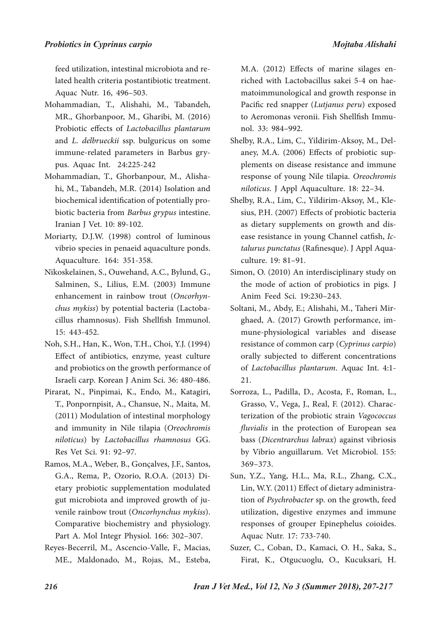feed utilization, intestinal microbiota and related health criteria postantibiotic treatment. Aquac Nutr. 16, 496–503.

- Mohammadian, T., Alishahi, M., Tabandeh, MR., Ghorbanpoor, M., Gharibi, M. (2016) Probiotic effects of *Lactobacillus plantarum* and *L. delbrueckii* ssp. bulguricus on some immune-related parameters in Barbus grypus. Aquac Int. 24:225-242
- Mohammadian, T., Ghorbanpour, M., Alishahi, M., Tabandeh, M.R. (2014) Isolation and biochemical identification of potentially probiotic bacteria from *Barbus grypus* intestine. Iranian J Vet. 10: 89-102.
- Moriarty, D.J.W. (1998) control of luminous vibrio species in penaeid aquaculture ponds. Aquaculture. 164: 351-358.
- Nikoskelainen, S., Ouwehand, A.C., Bylund, G., Salminen, S., Lilius, E.M. (2003) Immune enhancement in rainbow trout (Oncorhyn*chus mykiss*) by potential bacteria (Lactobacillus rhamnosus). Fish Shellfish Immunol. 15: 443-452.
- Noh, S.H., Han, K., Won, T.H., Choi, Y.J. (1994) Effect of antibiotics, enzyme, yeast culture and probiotics on the growth performance of Israeli carp. Korean J Anim Sci. 36: 480-486.
- Pirarat, N., Pinpimai, K., Endo, M., Katagiri, T., Ponpornpisit, A., Chansue, N., Maita, M. (2011) Modulation of intestinal morphology and immunity in Nile tilapia (*Oreochromis niloticus*) by *Lactobacillus rhamnosus* GG. Res Vet Sci. 91: 92–97.
- Ramos, M.A., Weber, B., Gonçalves, J.F., Santos, G.A., Rema, P., Ozorio, R.O.A. (2013) Dietary probiotic supplementation modulated gut microbiota and improved growth of juvenile rainbow trout (*Oncorhynchus mykiss*). Comparative biochemistry and physiology. Part A. Mol Integr Physiol. 166: 302–307.
- Reyes-Becerril, M., Ascencio-Valle, F., Macias, ME., Maldonado, M., Rojas, M., Esteba,

M.A. (2012) Effects of marine silages enriched with Lactobacillus sakei 5-4 on haematoimmunological and growth response in Pacific red snapper (*Lutjanus peru*) exposed to Aeromonas veronii. Fish Shellfish Immunol. 33: 984–992.

- Shelby, R.A., Lim, C., Yildirim-Aksoy, M., Delaney, M.A. (2006) Effects of probiotic supplements on disease resistance and immune response of young Nile tilapia. *Oreochromis niloticus*. J Appl Aquaculture. 18: 22–34.
- Shelby, R.A., Lim, C., Yildirim-Aksoy, M., Klesius, P.H. (2007) Effects of probiotic bacteria as dietary supplements on growth and disease resistance in young Channel catfish, *Ictalurus punctatus* (Rafinesque). J Appl Aquaculture. 19: 81–91.
- Simon, O. (2010) An interdisciplinary study on the mode of action of probiotics in pigs. J Anim Feed Sci. 19:230–243.
- Soltani, M., Abdy, E.; Alishahi, M., Taheri Mirghaed, A. (2017) Growth performance, immune-physiological variables and disease resistance of common carp (*Cyprinus carpio*) orally subjected to different concentrations of *Lactobacillus plantarum*. Aquac Int. 4:1- 21.
- Sorroza, L., Padilla, D., Acosta, F., Roman, L., Grasso, V., Vega, J., Real, F. (2012). Characterization of the probiotic strain *Vagococcus fluvialis* in the protection of European sea bass (*Dicentrarchus labrax*) against vibriosis by Vibrio anguillarum. Vet Microbiol. 155: 369–373.
- Sun, Y.Z., Yang, H.L., Ma, R.L., Zhang, C.X., Lin, W.Y. (2011) Effect of dietary administration of *Psychrobacter* sp. on the growth, feed utilization, digestive enzymes and immune responses of grouper Epinephelus coioides. Aquac Nutr. 17: 733-740.
- Suzer, C., Coban, D., Kamaci, O. H., Saka, S., Firat, K., Otgucuoglu, O., Kucuksari, H.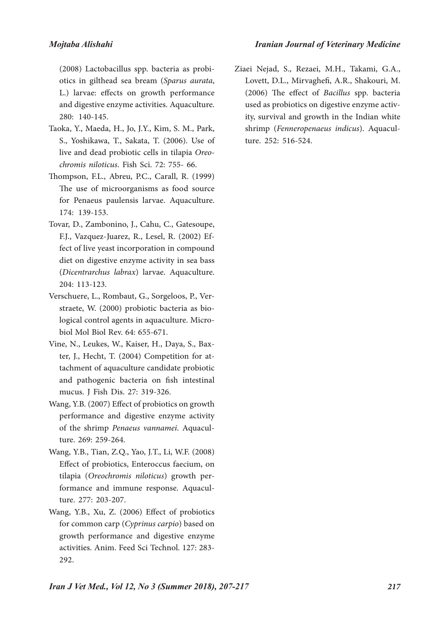(2008) Lactobacillus spp. bacteria as probiotics in gilthead sea bream (*Sparus aurata*, L.) larvae: effects on growth performance and digestive enzyme activities. Aquaculture. 280: 140-145.

- Taoka, Y., Maeda, H., Jo, J.Y., Kim, S. M., Park, S., Yoshikawa, T., Sakata, T. (2006). Use of live and dead probiotic cells in tilapia Oreo*chromis niloticus*. Fish Sci. 72: 755- 66.
- Thompson, F.L., Abreu, P.C., Carall, R. (1999) The use of microorganisms as food source for Penaeus paulensis larvae. Aquaculture. 174: 139-153.
- Tovar, D., Zambonino, J., Cahu, C., Gatesoupe, F.J., Vazquez-Juarez, R., Lesel, R. (2002) Effect of live yeast incorporation in compound diet on digestive enzyme activity in sea bass (*Dicentrarchus labrax*) larvae. Aquaculture. 204: 113-123.
- Verschuere, L., Rombaut, G., Sorgeloos, P., Verstraete, W. (2000) probiotic bacteria as biological control agents in aquaculture. Microbiol Mol Biol Rev. 64: 655-671.
- Vine, N., Leukes, W., Kaiser, H., Daya, S., Baxter, J., Hecht, T. (2004) Competition for attachment of aquaculture candidate probiotic and pathogenic bacteria on fish intestinal mucus. J Fish Dis. 27: 319-326.
- Wang, Y.B. (2007) Effect of probiotics on growth performance and digestive enzyme activity of the shrimp *Penaeus vannamei*. Aquaculture. 269: 259-264.
- Wang, Y.B., Tian, Z.Q., Yao, J.T., Li, W.F. (2008) Effect of probiotics, Enteroccus faecium, on tilapia (*Oreochromis niloticus*) growth performance and immune response. Aquaculture. 277: 203-207.
- Wang, Y.B., Xu, Z. (2006) Effect of probiotics for common carp (*Cyprinus carpio*) based on growth performance and digestive enzyme activities. Anim. Feed Sci Technol. 127: 283- 292.

Ziaei Nejad, S., Rezaei, M.H., Takami, G.A., Lovett, D.L., Mirvaghefi, A.R., Shakouri, M. (2006) The effect of *Bacillus* spp. bacteria used as probiotics on digestive enzyme activity, survival and growth in the Indian white shrimp (*Fenneropenaeus indicus*). Aquaculture. 252: 516-524.